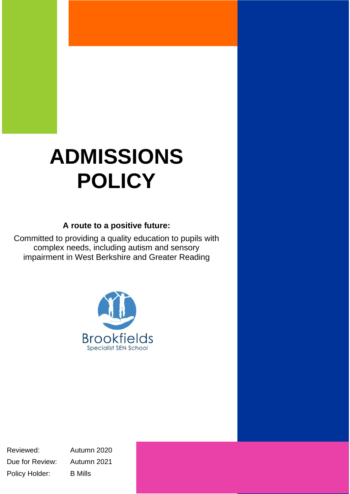# **ADMISSIONS POLICY**

## **A route to a positive future:**

Committed to providing a quality education to pupils with complex needs, including autism and sensory impairment in West Berkshire and Greater Reading



Reviewed: Autumn 2020 Due for Review: Autumn 2021 Policy Holder: B Mills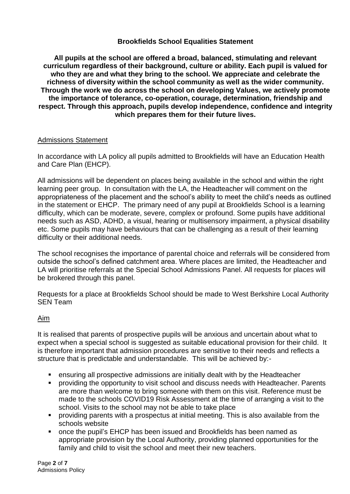#### **Brookfields School Equalities Statement**

**All pupils at the school are offered a broad, balanced, stimulating and relevant curriculum regardless of their background, culture or ability. Each pupil is valued for who they are and what they bring to the school. We appreciate and celebrate the richness of diversity within the school community as well as the wider community. Through the work we do across the school on developing Values, we actively promote the importance of tolerance, co-operation, courage, determination, friendship and respect. Through this approach, pupils develop independence, confidence and integrity which prepares them for their future lives.**

#### Admissions Statement

In accordance with LA policy all pupils admitted to Brookfields will have an Education Health and Care Plan (EHCP).

All admissions will be dependent on places being available in the school and within the right learning peer group. In consultation with the LA, the Headteacher will comment on the appropriateness of the placement and the school's ability to meet the child's needs as outlined in the statement or EHCP. The primary need of any pupil at Brookfields School is a learning difficulty, which can be moderate, severe, complex or profound. Some pupils have additional needs such as ASD, ADHD, a visual, hearing or multisensory impairment, a physical disability etc. Some pupils may have behaviours that can be challenging as a result of their learning difficulty or their additional needs.

The school recognises the importance of parental choice and referrals will be considered from outside the school's defined catchment area. Where places are limited, the Headteacher and LA will prioritise referrals at the Special School Admissions Panel. All requests for places will be brokered through this panel.

Requests for a place at Brookfields School should be made to West Berkshire Local Authority SEN Team

#### Aim

It is realised that parents of prospective pupils will be anxious and uncertain about what to expect when a special school is suggested as suitable educational provision for their child. It is therefore important that admission procedures are sensitive to their needs and reflects a structure that is predictable and understandable. This will be achieved by:-

- ensuring all prospective admissions are initially dealt with by the Headteacher
- providing the opportunity to visit school and discuss needs with Headteacher. Parents are more than welcome to bring someone with them on this visit. Reference must be made to the schools COVID19 Risk Assessment at the time of arranging a visit to the school. Visits to the school may not be able to take place
- **•** providing parents with a prospectus at initial meeting. This is also available from the schools website
- once the pupil's EHCP has been issued and Brookfields has been named as appropriate provision by the Local Authority, providing planned opportunities for the family and child to visit the school and meet their new teachers.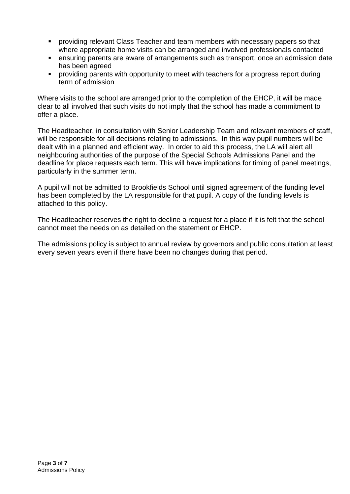- **•** providing relevant Class Teacher and team members with necessary papers so that where appropriate home visits can be arranged and involved professionals contacted
- ensuring parents are aware of arrangements such as transport, once an admission date has been agreed
- providing parents with opportunity to meet with teachers for a progress report during term of admission

Where visits to the school are arranged prior to the completion of the EHCP, it will be made clear to all involved that such visits do not imply that the school has made a commitment to offer a place.

The Headteacher, in consultation with Senior Leadership Team and relevant members of staff, will be responsible for all decisions relating to admissions. In this way pupil numbers will be dealt with in a planned and efficient way. In order to aid this process, the LA will alert all neighbouring authorities of the purpose of the Special Schools Admissions Panel and the deadline for place requests each term. This will have implications for timing of panel meetings, particularly in the summer term.

A pupil will not be admitted to Brookfields School until signed agreement of the funding level has been completed by the LA responsible for that pupil. A copy of the funding levels is attached to this policy.

The Headteacher reserves the right to decline a request for a place if it is felt that the school cannot meet the needs on as detailed on the statement or EHCP.

The admissions policy is subject to annual review by governors and public consultation at least every seven years even if there have been no changes during that period.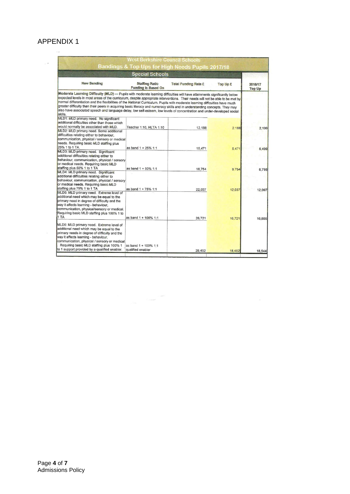### APPENDIX 1 $\sim$   $\sigma$

|                                                                                                                                                                                                                                                                                                                                                                                                                                                                                                                                                                                                                                                                  | <b>Special Schools</b>                              |                             |          |                          |
|------------------------------------------------------------------------------------------------------------------------------------------------------------------------------------------------------------------------------------------------------------------------------------------------------------------------------------------------------------------------------------------------------------------------------------------------------------------------------------------------------------------------------------------------------------------------------------------------------------------------------------------------------------------|-----------------------------------------------------|-----------------------------|----------|--------------------------|
| <b>New Banding</b>                                                                                                                                                                                                                                                                                                                                                                                                                                                                                                                                                                                                                                               | <b>Staffing Ratio</b><br><b>Funding is Based On</b> | <b>Total Funding Rate £</b> | Top Up £ | 2016/17<br><b>Top Up</b> |
| Moderate Learning Difficulty (MLD) — Pupils with moderate learning difficulties will have attainments significantly below<br>expected levels in most areas of the curriculum, despite appropriate interventions. Their needs will not be able to be met by<br>normal differentiation and the flexibilities of the National Curriculum. Pupils with moderate learning difficulties have much<br>greater difficulty than their peers in acquiring basic literacy and numeracy skills and in understanding concepts. They may<br>also have associated speech and language delay, low self-esteem, low levels of concentration and under-developed social<br>skills. |                                                     |                             |          |                          |
| MLD1: MLD primary need. No significant<br>additional difficulties other than those which<br>would normally be associated with MLD.<br>MLD2: MLD primary need. Some additional                                                                                                                                                                                                                                                                                                                                                                                                                                                                                    | Teacher 1:10, HLTA 1:10                             | 12,188                      | 2.188    | 2.199                    |
| difficulties relating either to behaviour.<br>communication, physical / sensory or medical<br>needs. Requiring basic MLD staffing plus<br>25% 1 to 1 TA.<br>MLD3: MLD primary need. Significant                                                                                                                                                                                                                                                                                                                                                                                                                                                                  | as band 1 + 25% 1:1                                 | 15,471                      | 5.471    | 5,499                    |
| additional difficulties relating either to<br>behaviour, communication, physical / sensory<br>or medical needs. Requiring basic MLD<br>staffing plus 50% 1 to 1 TA<br>MLD4: MLD primary need. Significant                                                                                                                                                                                                                                                                                                                                                                                                                                                        | as band 1 + 50% 1:1                                 | 18,754                      | 8.754    | 8,798                    |
| additional difficulties relating either to<br>behaviour, communication, physical / sensory<br>or medical needs. Requiring basic MLD<br>staffing plus 75% 1 to 1 TA                                                                                                                                                                                                                                                                                                                                                                                                                                                                                               | as band 1 + 75% 1:1                                 | 22,037                      | 12,037   | 12,097                   |
| MLD5: MLD primary need. Extreme level of<br>additional need which may be equal to the<br>primary need in degree of difficulty and the<br>way it affects learning - behaviour,<br>communication, physical/sensory or medical.<br>Requiring basic MLD staffing plus 100% 1 to<br>1 TA                                                                                                                                                                                                                                                                                                                                                                              | as band 1 + 100% 1:1                                | 26,721                      | 16,721   | 16,805                   |
| MLD6: MLD primary need. Extreme level of<br>additional need which may be equal to the<br>primary needs in degree of difficulty and the<br>way it affects learning - behaviour.<br>communication, physical / sensory or medical                                                                                                                                                                                                                                                                                                                                                                                                                                   |                                                     |                             |          |                          |
| Requiring basic MLD staffing plus 100% 1<br>to 1 support provided by a qualified enabler.                                                                                                                                                                                                                                                                                                                                                                                                                                                                                                                                                                        | as band 1 + 100% 1:1<br>qualified enabler           | 28,452                      |          |                          |

 $\label{eq:1.1} \mathcal{E}_{\text{1.1-10}}(t)$  where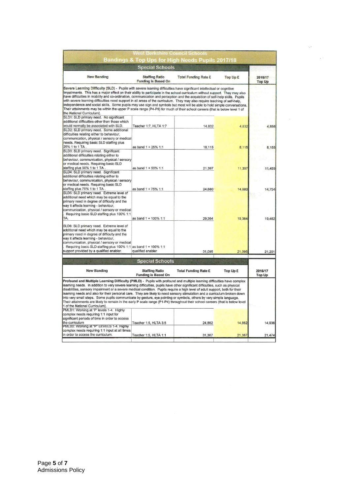|                                                                                                                                                                                                                                                                                                                                                                                                                                                                                                                                                                                                                                                                                                                                                                                                                                                         | <b>West Berkshire Council Schools</b>               |                             |          |                          |
|---------------------------------------------------------------------------------------------------------------------------------------------------------------------------------------------------------------------------------------------------------------------------------------------------------------------------------------------------------------------------------------------------------------------------------------------------------------------------------------------------------------------------------------------------------------------------------------------------------------------------------------------------------------------------------------------------------------------------------------------------------------------------------------------------------------------------------------------------------|-----------------------------------------------------|-----------------------------|----------|--------------------------|
|                                                                                                                                                                                                                                                                                                                                                                                                                                                                                                                                                                                                                                                                                                                                                                                                                                                         | Bandings & Top Ups for High Needs Pupils 2017/18    |                             |          |                          |
| <b>Special Schools</b>                                                                                                                                                                                                                                                                                                                                                                                                                                                                                                                                                                                                                                                                                                                                                                                                                                  |                                                     |                             |          |                          |
| <b>New Banding</b>                                                                                                                                                                                                                                                                                                                                                                                                                                                                                                                                                                                                                                                                                                                                                                                                                                      | <b>Staffing Ratio</b><br><b>Funding is Based On</b> | <b>Total Funding Rate £</b> | Top Up £ | 2016/17<br><b>Top Up</b> |
| Severe Learning Difficulty (SLD) - Pupils with severe learning difficulties have significant intellectual or cognitive<br>impairments. This has a major effect on their ability to participate in the school curriculum without support. They may also<br>have difficulties in mobility and co-ordination, communication and perception and the acquisition of self-help skills. Pupils<br>with severe learning difficulties need support in all areas of the curriculum. They may also require teaching of self-help,<br>independence and social skills. Some pupils may use sign and symbols but most will be able to hold simple conversations.<br>Their attainments may be within the upper P scale range (P4-P8) for much of their school careers (that is below level 1 of<br>the National Curriculum).<br>SLD1: SLD primary need. No significant |                                                     |                             |          |                          |
| additional difficulties other than those which<br>would normally be associated with SLD.<br>SLD2: SLD primary need. Some additional<br>difficulties relating either to behaviour,                                                                                                                                                                                                                                                                                                                                                                                                                                                                                                                                                                                                                                                                       | Teacher 1:7, HLTA 1:7                               | 14,832                      | 4,832    | 4,856                    |
| communication, physical / sensory or medical<br>needs. Requiring basic SLD staffing plus<br>25% 1 to 1 TA.<br>SLD3: SLD primary need. Significant                                                                                                                                                                                                                                                                                                                                                                                                                                                                                                                                                                                                                                                                                                       | as band 1 + 25% 1:1                                 | 18,115                      | 8,115    | 8,155                    |
| additional difficulties relating either to<br>behaviour, communication, physical / sensory<br>or medical needs. Requiring basic SLD<br>staffing plus 50% 1 to 1 TA.                                                                                                                                                                                                                                                                                                                                                                                                                                                                                                                                                                                                                                                                                     | as band 1 + 50% 1:1                                 | 21,397                      | 11,397   | 11,455                   |
| SLD4: SLD primary need. Significant<br>additional difficulties relating either to<br>behaviour, communication, physical / sensory<br>or medical needs. Requiring basic SLD                                                                                                                                                                                                                                                                                                                                                                                                                                                                                                                                                                                                                                                                              |                                                     |                             |          |                          |
| staffing plus 75% 1 to 1 TA.<br>SLD5: SLD primary need. Extreme level of<br>additional need which may be equal to the<br>primary need in degree of difficulty and the<br>way it affects learning - behaviour,<br>communication, physical / sensory or medical<br>Requiring basic SLD staffing plus 100% 1:1                                                                                                                                                                                                                                                                                                                                                                                                                                                                                                                                             | as band 1 + 75% 1:1                                 | 24,680                      | 14,680   | 14.754                   |
| TA.<br>SLD6: SLD primary need. Extreme level of<br>additional need which may be equal to the<br>primary need in degree of difficulty and the<br>way it affects learning - behaviour,<br>communication, physical / sensory or medical<br>Requiring basic SLD staffing plus 100% 1:1 as band 1 + 100% 1:1                                                                                                                                                                                                                                                                                                                                                                                                                                                                                                                                                 | as band 1 + 100% 1:1                                | 29,364                      | 19,364   | 19,462                   |
| support provided by a qualified enabler.                                                                                                                                                                                                                                                                                                                                                                                                                                                                                                                                                                                                                                                                                                                                                                                                                | qualified enabler                                   | 31,095                      | 21,095   | 21,201                   |
|                                                                                                                                                                                                                                                                                                                                                                                                                                                                                                                                                                                                                                                                                                                                                                                                                                                         | <b>Special Schools</b>                              |                             |          |                          |
| <b>New Banding</b>                                                                                                                                                                                                                                                                                                                                                                                                                                                                                                                                                                                                                                                                                                                                                                                                                                      | <b>Staffing Ratio</b><br><b>Funding is Based On</b> | <b>Total Funding Rate £</b> | Top Up £ | 2016/17<br><b>Top Up</b> |
| Profound and Multiple Learning Difficulty (PMLD) - Pupils with profound and multiple learning difficulties have complex<br>learning needs. In addition to very severe learning difficulties, pupils have other significant difficulties, such as physical<br>disabilities, sensory impairment or a severe medical condition. Pupils require a high level of adult support, both for their<br>learning needs and also for their personal care. They are likely to need sensory stimulation and a curriculum broken down<br>into very small steps. Some pupils communicate by gesture, eye pointing or symbols, others by very simple language.<br>Their attainments are likely to remain in the early P scale range (P1-P4) throughout their school careers (that is below level<br>1 of the National Curriculum).                                       |                                                     |                             |          |                          |
| PMLD1: Working at 'P' levels 1-4. Highly<br>complex needs requiring 1:1 input for<br>significant periods of time in order to access<br>the curriculum                                                                                                                                                                                                                                                                                                                                                                                                                                                                                                                                                                                                                                                                                                   | Teacher 1:5, HLTA 3:5                               | 24,862                      | 14.862   | 14,936                   |
| PMLD2: Working at "P" LEVELS 1-4. Highly<br>complex needs requiring 1:1 input at all times<br>in order to access the curriculum.                                                                                                                                                                                                                                                                                                                                                                                                                                                                                                                                                                                                                                                                                                                        | Teacher 1:5, HLTA 1:1                               | 31,367                      | 21,367   | 21,474                   |
|                                                                                                                                                                                                                                                                                                                                                                                                                                                                                                                                                                                                                                                                                                                                                                                                                                                         |                                                     |                             |          |                          |

 $\lambda_{\rm{c}}$ 

 $\omega$   $^3$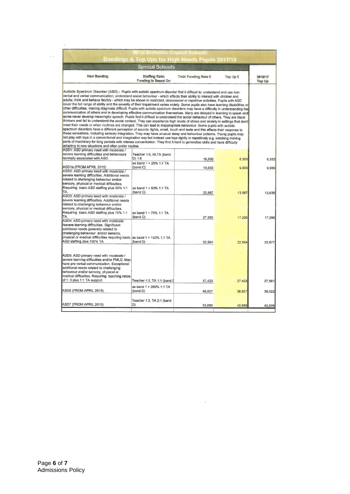|                                                                                                                                                                                                                                                                                                                                                                                                                                                                                                                                                                                                                                                                                                                                                                                                                                                                                                                                                                                                                                                                                                                                                                                                                                                                                                                                                                                                                                                                                                                                                                                                                                                                                                                                                                  | <b>Special Schools</b>                              |                             |          |                          |
|------------------------------------------------------------------------------------------------------------------------------------------------------------------------------------------------------------------------------------------------------------------------------------------------------------------------------------------------------------------------------------------------------------------------------------------------------------------------------------------------------------------------------------------------------------------------------------------------------------------------------------------------------------------------------------------------------------------------------------------------------------------------------------------------------------------------------------------------------------------------------------------------------------------------------------------------------------------------------------------------------------------------------------------------------------------------------------------------------------------------------------------------------------------------------------------------------------------------------------------------------------------------------------------------------------------------------------------------------------------------------------------------------------------------------------------------------------------------------------------------------------------------------------------------------------------------------------------------------------------------------------------------------------------------------------------------------------------------------------------------------------------|-----------------------------------------------------|-----------------------------|----------|--------------------------|
| <b>New Banding</b>                                                                                                                                                                                                                                                                                                                                                                                                                                                                                                                                                                                                                                                                                                                                                                                                                                                                                                                                                                                                                                                                                                                                                                                                                                                                                                                                                                                                                                                                                                                                                                                                                                                                                                                                               | <b>Staffing Ratio</b><br><b>Funding is Based On</b> | <b>Total Funding Rate £</b> | Top Up £ | 2016/17<br><b>Top Up</b> |
| Autistic Spectrum Disorder (ASD) - Pupils with autistic spectrum disorder find it difficult to: understand and use non-<br>verbal and verbal communication; understand social behaviour - which affects their ability to interact with children and<br>adults; think and behave flexibly - which may be shown in restricted, obsessional or repetitive activities. Pupils with ASD<br>cover the full range of ability and the severity of their impairment varies widely. Some pupils also have learning disabilities or<br>other difficulties, making diagnosis difficult. Pupils with autistic spectrum disorders may have a difficulty in understanding the<br>communication of others and in developing effective communication themselves. Many are delayed in learning to speak and<br>some never develop meaningful speech. Pupils find it difficult to understand the social behaviour of others. They are literal<br>thinkers and fail to understand the social context. They can experience high levels of stress and anxiety in settings that don't<br>meet their needs or when routines are changed. This can lead to inappropriate behaviour. Some pupils with autistic<br>spectrum disorders have a different perception of sounds, lights, smell, touch and taste and this affects their response to<br>these sensations, including sensory integration. They may have unusual sleep and behaviour patterns. Young pupils may<br>not play with toys in a conventional and imaginative way but instead use toys rigidly or repetitively e.g. watching moving<br>parts of machinery for long periods with intense concentration. They find it hard to generalise skills and have difficulty<br>adapting to new situations and often prefer routine. |                                                     |                             |          |                          |
| ASD1: ASD primary need with moderate /                                                                                                                                                                                                                                                                                                                                                                                                                                                                                                                                                                                                                                                                                                                                                                                                                                                                                                                                                                                                                                                                                                                                                                                                                                                                                                                                                                                                                                                                                                                                                                                                                                                                                                                           |                                                     |                             |          |                          |
| severe learning difficulties and behaviours                                                                                                                                                                                                                                                                                                                                                                                                                                                                                                                                                                                                                                                                                                                                                                                                                                                                                                                                                                                                                                                                                                                                                                                                                                                                                                                                                                                                                                                                                                                                                                                                                                                                                                                      | Teacher 1:6, HLTA (band                             |                             |          |                          |
| normally associated with ASD.                                                                                                                                                                                                                                                                                                                                                                                                                                                                                                                                                                                                                                                                                                                                                                                                                                                                                                                                                                                                                                                                                                                                                                                                                                                                                                                                                                                                                                                                                                                                                                                                                                                                                                                                    | D) 1:6<br>as band 1 + 25% 1:1 TA                    | 16,300                      | 6,300    |                          |
| ASD1a (FROM APRIL 2015)<br>ASD2: ASD primary need with moderate /                                                                                                                                                                                                                                                                                                                                                                                                                                                                                                                                                                                                                                                                                                                                                                                                                                                                                                                                                                                                                                                                                                                                                                                                                                                                                                                                                                                                                                                                                                                                                                                                                                                                                                | (band C)                                            | 19,933                      | 9,933    |                          |
| severe learning difficulties. Additional needs<br>related to challenging behaviour and/or<br>sensory, physical or medical difficulties.<br>Requiring basic ASD staffing plus 50% 1:1<br>TA.<br>ASD3: ASD primary need with moderate /<br>severe learning difficulties. Additional needs                                                                                                                                                                                                                                                                                                                                                                                                                                                                                                                                                                                                                                                                                                                                                                                                                                                                                                                                                                                                                                                                                                                                                                                                                                                                                                                                                                                                                                                                          | as band 1 + 50% 1:1 TA<br>(band C)                  | 23,567                      | 13,567   |                          |
| related to challenging behaviour and/or<br>sensory, physical or medical difficulties.<br>Requiring basic ASD staffing plus 75% 1:1<br>TA.                                                                                                                                                                                                                                                                                                                                                                                                                                                                                                                                                                                                                                                                                                                                                                                                                                                                                                                                                                                                                                                                                                                                                                                                                                                                                                                                                                                                                                                                                                                                                                                                                        | as band 1 + 75% 1:1 TA<br>(band C)                  | 27,200                      | 17,200   |                          |
| ASD4: ASD primary need with moderate<br>/severe learning difficulties. Significant<br>additional needs generally related to<br>challenging behaviour and/or sensory,<br>physical or medical difficulties requiring basic as band 1 + 100% 1:1 TA<br>ASD staffing plus 100% TA                                                                                                                                                                                                                                                                                                                                                                                                                                                                                                                                                                                                                                                                                                                                                                                                                                                                                                                                                                                                                                                                                                                                                                                                                                                                                                                                                                                                                                                                                    | (band D)                                            | 32,564                      | 22,564   |                          |
|                                                                                                                                                                                                                                                                                                                                                                                                                                                                                                                                                                                                                                                                                                                                                                                                                                                                                                                                                                                                                                                                                                                                                                                                                                                                                                                                                                                                                                                                                                                                                                                                                                                                                                                                                                  |                                                     |                             |          |                          |
| ASD5: ASD primary need with moderate /<br>severe learning difficulties and/or PMLD. May<br>have pre verbal communication. Exceptional<br>additional needs related to challenging<br>behaviour and/or sensory, physical or<br>medical difficulties. Requiring teaching ratios<br>of 1: 3 plus 1:1 TA support.                                                                                                                                                                                                                                                                                                                                                                                                                                                                                                                                                                                                                                                                                                                                                                                                                                                                                                                                                                                                                                                                                                                                                                                                                                                                                                                                                                                                                                                     | Teacher 1:3, TA 1:1 (band I                         |                             |          |                          |
|                                                                                                                                                                                                                                                                                                                                                                                                                                                                                                                                                                                                                                                                                                                                                                                                                                                                                                                                                                                                                                                                                                                                                                                                                                                                                                                                                                                                                                                                                                                                                                                                                                                                                                                                                                  |                                                     | 37,423                      | 27,423   |                          |
| ASD6 (FROM APRIL 2015)                                                                                                                                                                                                                                                                                                                                                                                                                                                                                                                                                                                                                                                                                                                                                                                                                                                                                                                                                                                                                                                                                                                                                                                                                                                                                                                                                                                                                                                                                                                                                                                                                                                                                                                                           | as band 1 + 200% 1:1 TA<br>(band D)                 | 48,827                      | 38,827   |                          |
| ASD7 (FROM APRIL 2015)                                                                                                                                                                                                                                                                                                                                                                                                                                                                                                                                                                                                                                                                                                                                                                                                                                                                                                                                                                                                                                                                                                                                                                                                                                                                                                                                                                                                                                                                                                                                                                                                                                                                                                                                           | Teacher 1:3, TA 2:1 (band<br>D)                     | 53,686                      | 43,686   |                          |
|                                                                                                                                                                                                                                                                                                                                                                                                                                                                                                                                                                                                                                                                                                                                                                                                                                                                                                                                                                                                                                                                                                                                                                                                                                                                                                                                                                                                                                                                                                                                                                                                                                                                                                                                                                  |                                                     |                             |          |                          |

 $\mathbf{E}^{\text{max}}_{\text{max}}$